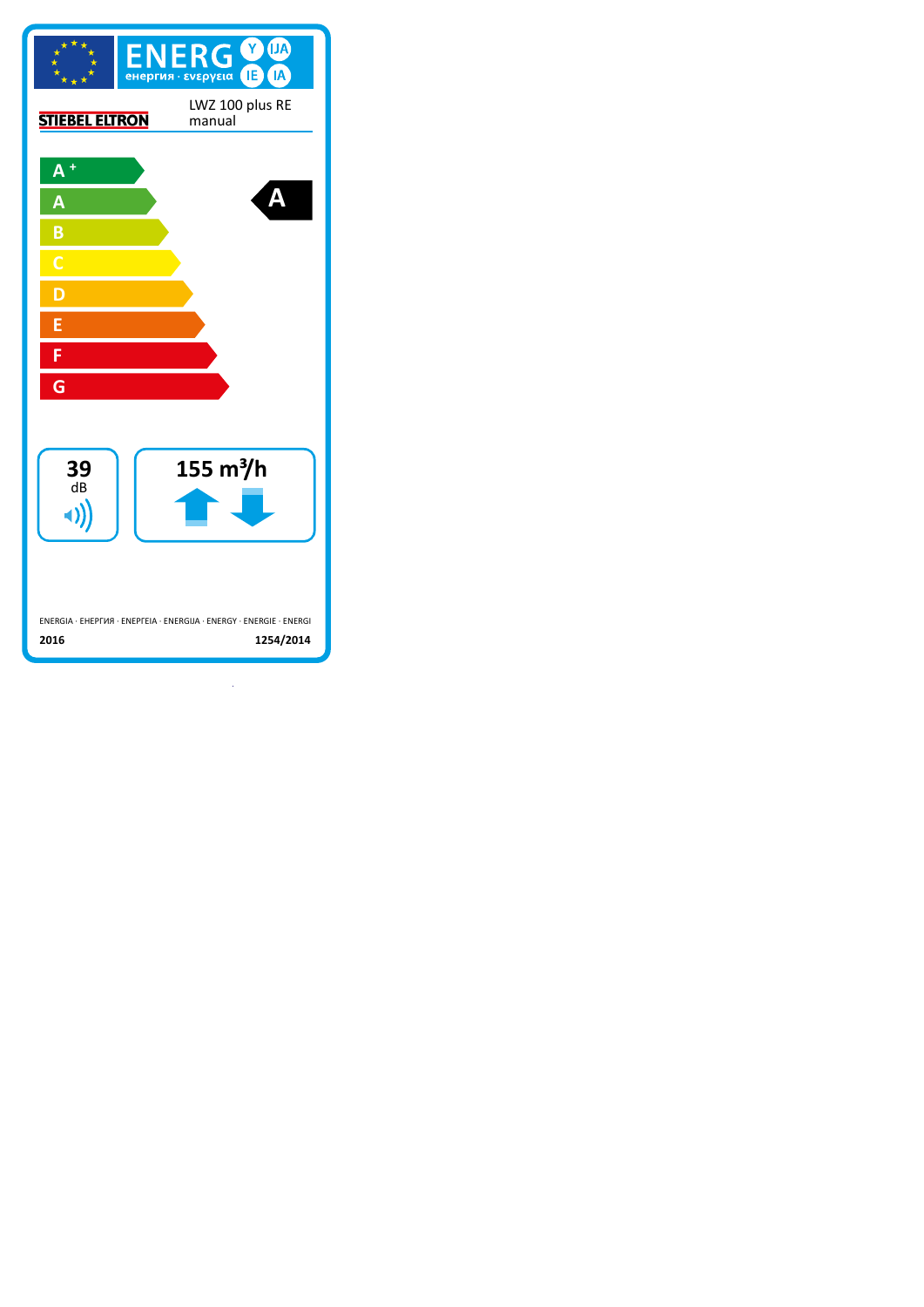